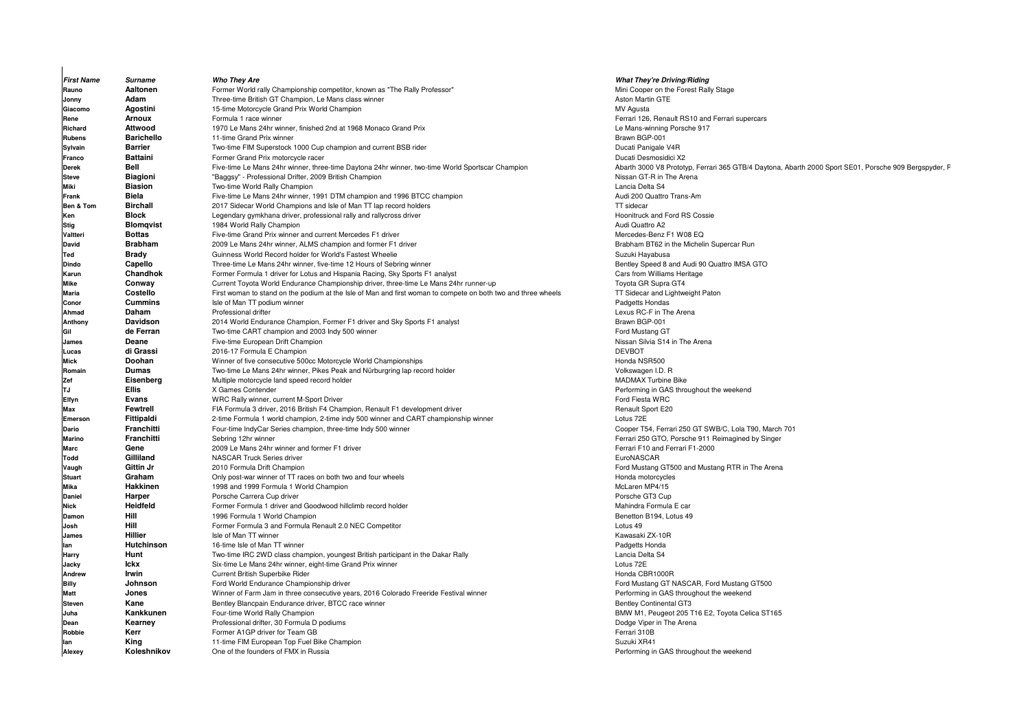| <b>First Name</b> | Surname           | <b>Who They Are</b>                                                                                           | <b>What They're Driving/Riding</b>                     |
|-------------------|-------------------|---------------------------------------------------------------------------------------------------------------|--------------------------------------------------------|
| Rauno             | Aaltonen          | Former World rally Championship competitor, known as "The Rally Professor"                                    | Mini Cooper on the Forest Rally Stage                  |
| Jonny             | Adam              | Three-time British GT Champion, Le Mans class winner                                                          | Aston Martin GTE                                       |
| Giacomo           | Agostini          | 15-time Motorcycle Grand Prix World Champion                                                                  | MV Agusta                                              |
| Rene              | <b>Arnoux</b>     | Formula 1 race winner                                                                                         | Ferrari 126, Renault RS10 and Ferrari supercars        |
| Richard           | Attwood           | 1970 Le Mans 24hr winner, finished 2nd at 1968 Monaco Grand Prix                                              | Le Mans-winning Porsche 917                            |
| <b>Rubens</b>     | <b>Barichello</b> | 11-time Grand Prix winner                                                                                     | Brawn BGP-001                                          |
| Sylvain           | <b>Barrier</b>    | Two-time FIM Superstock 1000 Cup champion and current BSB rider                                               | Ducati Panigale V4R                                    |
| Franco            | <b>Battaini</b>   | Former Grand Prix motorcycle racer                                                                            | Ducati Desmosidici X2                                  |
| <b>Derek</b>      | Bell              | Five-time Le Mans 24hr winner, three-time Daytona 24hr winner, two-time World Sportscar Champion              | Abarth 3000 V8 Prototyp, Ferrari 365 GTB/4 Daytona, Ab |
| <b>Steve</b>      | <b>Biagioni</b>   | "Baggsy" - Professional Drifter, 2009 British Champion                                                        | Nissan GT-R in The Arena                               |
| Miki              | <b>Biasion</b>    | Two-time World Rally Champion                                                                                 | Lancia Delta S4                                        |
| Frank             | Biela             | Five-time Le Mans 24hr winner, 1991 DTM champion and 1996 BTCC champion                                       | Audi 200 Quattro Trans-Am                              |
| Ben & Tom         | <b>Birchall</b>   | 2017 Sidecar World Champions and Isle of Man TT lap record holders                                            | TT sidecar                                             |
| Ken               | <b>Block</b>      | Legendary gymkhana driver, professional rally and rallycross driver                                           | Hoonitruck and Ford RS Cossie                          |
| <b>Stig</b>       | <b>Blomgvist</b>  | 1984 World Rally Champion                                                                                     | Audi Quattro A2                                        |
| Valtteri          | <b>Bottas</b>     | Five-time Grand Prix winner and current Mercedes F1 driver                                                    | Mercedes-Benz F1 W08 EQ                                |
| David             | <b>Brabham</b>    | 2009 Le Mans 24hr winner, ALMS champion and former F1 driver                                                  | Brabham BT62 in the Michelin Supercar Run              |
| Ted               | <b>Brady</b>      | Guinness World Record holder for World's Fastest Wheelie                                                      | Suzuki Hayabusa                                        |
| <b>Dindo</b>      | Capello           | Three-time Le Mans 24hr winner, five-time 12 Hours of Sebring winner                                          | Bentley Speed 8 and Audi 90 Quattro IMSA GTO           |
| Karun             | Chandhok          | Former Formula 1 driver for Lotus and Hispania Racing, Sky Sports F1 analyst                                  | Cars from Williams Heritage                            |
| <b>Mike</b>       | Conway            | Current Toyota World Endurance Championship driver, three-time Le Mans 24hr runner-up                         | Toyota GR Supra GT4                                    |
| <b>Maria</b>      | Costello          | First woman to stand on the podium at the Isle of Man and first woman to compete on both two and three wheels | TT Sidecar and Lightweight Paton                       |
| Conor             | <b>Cummins</b>    | Isle of Man TT podium winner                                                                                  | Padgetts Hondas                                        |
| Ahmad             | Daham             | Professional drifter                                                                                          | Lexus RC-F in The Arena                                |
| Anthony           | <b>Davidson</b>   | 2014 World Endurance Champion, Former F1 driver and Sky Sports F1 analyst                                     | Brawn BGP-001                                          |
| Gil               | de Ferran         | Two-time CART champion and 2003 Indy 500 winner                                                               | Ford Mustang GT                                        |
| James             | Deane             | Five-time European Drift Champion                                                                             | Nissan Silvia S14 in The Arena                         |
| Lucas             | di Grassi         | 2016-17 Formula E Champion                                                                                    | <b>DEVBOT</b>                                          |
| <b>Mick</b>       | Doohan            | Winner of five consecutive 500cc Motorcycle World Championships                                               | Honda NSR500                                           |
| Romain            | Dumas             | Two-time Le Mans 24hr winner, Pikes Peak and Nürburgring lap record holder                                    | Volkswagen I.D. R                                      |
| Zef               | Eisenberg         | Multiple motorcycle land speed record holder                                                                  | <b>MADMAX Turbine Bike</b>                             |
| ΤJ                | <b>Ellis</b>      | X Games Contender                                                                                             | Performing in GAS throughout the weekend               |
| Elfyn             | Evans             | WRC Rally winner, current M-Sport Driver                                                                      | Ford Fiesta WRC                                        |
| Max               | Fewtrell          | FIA Formula 3 driver, 2016 British F4 Champion, Renault F1 development driver                                 | Renault Sport E20                                      |
| <b>Emerson</b>    | Fittipaldi        | 2-time Formula 1 world champion, 2-time indy 500 winner and CART championship winner                          | Lotus 72E                                              |
| <b>Dario</b>      | Franchitti        | Four-time IndyCar Series champion, three-time Indy 500 winner                                                 | Cooper T54, Ferrari 250 GT SWB/C, Lola T90, March 701  |
| <b>Marino</b>     | Franchitti        | Sebring 12hr winner                                                                                           | Ferrari 250 GTO, Porsche 911 Reimagined by Singer      |
| Marc              | Gene              | 2009 Le Mans 24hr winner and former F1 driver                                                                 | Ferrari F10 and Ferrari F1-2000                        |
| <b>Todd</b>       | Gilliland         | NASCAR Truck Series driver                                                                                    | EuroNASCAR                                             |
| Vaugh             | Gittin Jr         | 2010 Formula Drift Champion                                                                                   | Ford Mustang GT500 and Mustang RTR in The Arena        |
| <b>Stuart</b>     | Graham            | Only post-war winner of TT races on both two and four wheels                                                  | Honda motorcycles                                      |
| Mika              | Hakkinen          | 1998 and 1999 Formula 1 World Champion                                                                        | McLaren MP4/15                                         |
| <b>Daniel</b>     | Harper            | Porsche Carrera Cup driver                                                                                    | Porsche GT3 Cup                                        |
| Nick              | Heidfeld          | Former Formula 1 driver and Goodwood hillclimb record holder                                                  | Mahindra Formula E car                                 |
| Damon             | Hill              | 1996 Formula 1 World Champion                                                                                 | Benetton B194, Lotus 49                                |
| Josh              | <b>Hill</b>       | Former Formula 3 and Formula Renault 2.0 NEC Competitor                                                       | Lotus 49                                               |
| James             | Hillier           | Isle of Man TT winner                                                                                         | Kawasaki ZX-10R                                        |
| lan               | Hutchinson        | 16-time Isle of Man TT winner                                                                                 | Padgetts Honda                                         |
| Harry             | Hunt              | Two-time IRC 2WD class champion, youngest British participant in the Dakar Rally                              | Lancia Delta S4                                        |
| Jacky             | <b>Ickx</b>       | Six-time Le Mans 24hr winner, eight-time Grand Prix winner                                                    | Lotus 72E                                              |
| Andrew            | Irwin             | Current British Superbike Rider                                                                               | Honda CBR1000R                                         |
| <b>Billy</b>      | Johnson           | Ford World Endurance Championship driver                                                                      | Ford Mustang GT NASCAR, Ford Mustang GT500             |
| Matt              | Jones             | Winner of Farm Jam in three consecutive years, 2016 Colorado Freeride Festival winner                         | Performing in GAS throughout the weekend               |
| <b>Steven</b>     | Kane              | Bentley Blancpain Endurance driver, BTCC race winner                                                          | <b>Bentley Continental GT3</b>                         |
| Juha              | Kankkunen         | Four-time World Rally Champion                                                                                | BMW M1, Peugeot 205 T16 E2, Toyota Celica ST165        |
| Dean              | Kearney           | Professional drifter, 30 Formula D podiums                                                                    | Dodge Viper in The Arena                               |
| Robbie            | Kerr              | Former A1GP driver for Team GB                                                                                | Ferrari 310B                                           |
| lan               | King              | 11-time FIM European Top Fuel Bike Champion                                                                   | Suzuki XR41                                            |
| Alexey            | Koleshnikov       | One of the founders of FMX in Russia                                                                          | Performing in GAS throughout the weekend               |

 $\overline{\phantom{a}}$ 

 **What They're Driving/Riding**Ferrari 126, Renault RS10 and Ferrari supercars Le Mans-winning Porsche 917<br>Brawn BGP-001 Ducati Desmosidici X2 Abarth 3000 V8 Prototyp, Ferrari 365 GTB/4 Daytona, Abarth 2000 Sport SE01, Porsche 909 Bergspyder, P Nissan GT-R in The Arena Audi 200 Quattro Trans-Am<br>TT sidecar Audi Quattro A2 Mercedes-Benz F1 W08 EQ Bentley Speed 8 and Audi 90 Quattro IMSA GTO **Cars from Williams Heritage<br>Toyota GR Supra GT4** First Woman and Lightweight Paton<br>
Padgetts Hondas Honda NSR500 MADMAX Turbine Bike Performing in GAS throughout the weekend<br>Ford Fiesta WRC Renault Sport E20 Ferrari 250 GTO, Porsche 911 Reimagined by Singer Ferrari F10 and Ferrari F1-2000<br>EuroNASCAR Mahindra Formula E car Benetton B194, Lotus 49<br>Lotus 49 Kawasaki ZX-10R Padgetts Honda Lancia Delta S4 Honda CBR1000R Performing in GAS throughout the weekend<br>Bentley Continental GT3 BMW M1, Peugeot 205 T16 E2, Toyota Celica ST165 Dodge Viper in The Arena<br>Ferrari 310 B Performing in GAS throughout the weekend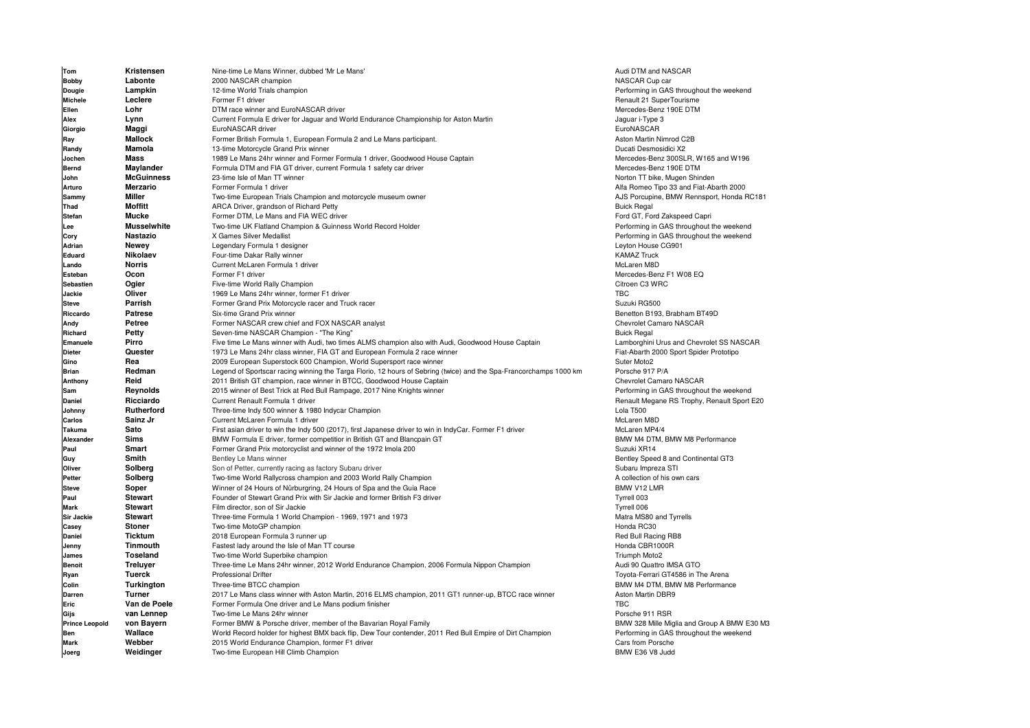| Tom                   | Kristensen         | Nine-time Le Mans Winner, dubbed 'Mr Le Mans                                                                       | Audi DTM and NASCAR                         |
|-----------------------|--------------------|--------------------------------------------------------------------------------------------------------------------|---------------------------------------------|
| Bobby                 | Labonte            | 2000 NASCAR champion                                                                                               | NASCAR Cup car                              |
| Dougie                | Lampkin            | 12-time World Trials champion                                                                                      | Performing in GAS throughout the weekend    |
| <b>Michele</b>        | Leclere            | Former F1 driver                                                                                                   | Renault 21 SuperTourisme                    |
| Ellen                 | Lohr               | DTM race winner and EuroNASCAR driver                                                                              | Mercedes-Benz 190E DTM                      |
| Alex                  | Lynn               | Current Formula E driver for Jaguar and World Endurance Championship for Aston Martin                              | Jaguar i-Type 3                             |
| Giorgio               | Maggi              | EuroNASCAR driver                                                                                                  | EuroNASCAR                                  |
| Ray                   | <b>Mallock</b>     | Former British Formula 1, European Formula 2 and Le Mans participant.                                              | Aston Martin Nimrod C2B                     |
| Randy                 | Mamola             | 13-time Motorcycle Grand Prix winner                                                                               | Ducati Desmosidici X2                       |
| Jochen                | Mass               | 1989 Le Mans 24hr winner and Former Formula 1 driver, Goodwood House Captain                                       | Mercedes-Benz 300SLR, W165 and W196         |
| Bernd                 | Maylander          | Formula DTM and FIA GT driver, current Formula 1 safety car driver                                                 | Mercedes-Benz 190E DTM                      |
| John                  | <b>McGuinness</b>  | 23-time Isle of Man TT winner                                                                                      | Norton TT bike, Mugen Shinden               |
| Arturo                | <b>Merzario</b>    | Former Formula 1 driver                                                                                            | Alfa Romeo Tipo 33 and Fiat-Abarth 2000     |
| Sammy                 | Miller             | Two-time European Trials Champion and motorcycle museum owner                                                      | AJS Porcupine, BMW Rennsport, Honda RC181   |
| Thad                  | <b>Moffitt</b>     | ARCA Driver, grandson of Richard Petty                                                                             | <b>Buick Regal</b>                          |
| <b>Stefan</b>         | <b>Mucke</b>       | Former DTM, Le Mans and FIA WEC driver                                                                             | Ford GT, Ford Zakspeed Capri                |
| Lee                   | <b>Musselwhite</b> | Two-time UK Flatland Champion & Guinness World Record Holder                                                       | Performing in GAS throughout the weekend    |
| Cory                  | Nastazio           | X Games Silver Medallist                                                                                           | Performing in GAS throughout the weekend    |
| Adrian                | Newey              | Legendary Formula 1 designer                                                                                       | Leyton House CG901                          |
| Eduard                | Nikolaev           | Four-time Dakar Rally winner                                                                                       | <b>KAMAZ Truck</b>                          |
| Lando                 | <b>Norris</b>      | Current McLaren Formula 1 driver                                                                                   | McLaren M8D                                 |
| Esteban               | Ocon               | Former F1 driver                                                                                                   | Mercedes-Benz F1 W08 EQ                     |
| <b>Sebastien</b>      | Ogier              | Five-time World Rally Champion                                                                                     | Citroen C3 WRC                              |
| Jackie                | Oliver             | 1969 Le Mans 24hr winner, former F1 driver                                                                         | <b>TBC</b>                                  |
| <b>Steve</b>          | Parrish            | Former Grand Prix Motorcycle racer and Truck racer                                                                 | Suzuki RG500                                |
| Riccardo              | <b>Patrese</b>     | Six-time Grand Prix winner                                                                                         | Benetton B193, Brabham BT49D                |
| Andy                  | Petree             | Former NASCAR crew chief and FOX NASCAR analyst                                                                    | Chevrolet Camaro NASCAR                     |
| Richard               | Petty              | Seven-time NASCAR Champion - "The King"                                                                            | <b>Buick Regal</b>                          |
| Emanuele              | Pirro              | Five time Le Mans winner with Audi, two times ALMS champion also with Audi, Goodwood House Captain                 | Lamborghini Urus and Chevrolet SS NASCAR    |
| <b>Dieter</b>         | Quester            | 1973 Le Mans 24hr class winner, FIA GT and European Formula 2 race winner                                          | Fiat-Abarth 2000 Sport Spider Prototipo     |
| Gino                  | Rea                | 2009 European Superstock 600 Champion, World Supersport race winner                                                | Suter Moto2                                 |
| <b>Brian</b>          | Redman             | Legend of Sportscar racing winning the Targa Florio, 12 hours of Sebring (twice) and the Spa-Francorchamps 1000 km | Porsche 917 P/A                             |
| Anthony               | Reid               | 2011 British GT champion, race winner in BTCC, Goodwood House Captain                                              | Chevrolet Camaro NASCAR                     |
| Sam                   | Reynolds           | 2015 winner of Best Trick at Red Bull Rampage, 2017 Nine Knights winner                                            | Performing in GAS throughout the weekend    |
| <b>Daniel</b>         | Ricciardo          | Current Renault Formula 1 driver                                                                                   | Renault Megane RS Trophy, Renault Sport E20 |
| Johnny                | Rutherford         | Three-time Indy 500 winner & 1980 Indycar Champion                                                                 | Lola T500                                   |
| Carlos                | Sainz Jr           | Current McLaren Formula 1 driver                                                                                   | McLaren M8D                                 |
| Takuma                | Sato               | First asian driver to win the Indy 500 (2017), first Japanese driver to win in IndyCar. Former F1 driver           | McLaren MP4/4                               |
| Alexander             | <b>Sims</b>        | BMW Formula E driver, former competitior in British GT and Blancpain GT                                            | BMW M4 DTM, BMW M8 Performance              |
| Paul                  | Smart              | Former Grand Prix motorcyclist and winner of the 1972 Imola 200                                                    | Suzuki XR14                                 |
| Guy                   | Smith              | Bentley Le Mans winner                                                                                             | Bentley Speed 8 and Continental GT3         |
| Oliver                | Solberg            | Son of Petter, currently racing as factory Subaru driver                                                           | Subaru Impreza STI                          |
| Petter                | Solberg            | Two-time World Rallycross champion and 2003 World Rally Champion                                                   | A collection of his own cars                |
| <b>Steve</b>          | Soper              | Winner of 24 Hours of Nürburgring, 24 Hours of Spa and the Guia Race                                               | BMW V12 LMR                                 |
| Paul                  | <b>Stewart</b>     | Founder of Stewart Grand Prix with Sir Jackie and former British F3 driver                                         | Tyrrell 003                                 |
| <b>Mark</b>           | <b>Stewart</b>     | Film director, son of Sir Jackie                                                                                   | Tyrrell 006                                 |
| <b>Sir Jackie</b>     | <b>Stewart</b>     | Three-time Formula 1 World Champion - 1969, 1971 and 1973                                                          | Matra MS80 and Tyrrells                     |
| Casey                 | <b>Stoner</b>      | Two-time MotoGP champion                                                                                           | Honda RC30                                  |
| <b>Daniel</b>         | <b>Ticktum</b>     | 2018 European Formula 3 runner up                                                                                  | Red Bull Racing RB8                         |
| Jenny                 | <b>Tinmouth</b>    | Fastest lady around the Isle of Man TT course                                                                      | Honda CBR1000R                              |
| James                 | Toseland           | Two-time World Superbike champion                                                                                  | Triumph Moto2                               |
| <b>Benoit</b>         | <b>Treluyer</b>    | Three-time Le Mans 24hr winner, 2012 World Endurance Champion, 2006 Formula Nippon Champion                        | Audi 90 Quattro IMSA GTO                    |
| Ryan                  | Tuerck             | Professional Drifter                                                                                               | Toyota-Ferrari GT4586 in The Arena          |
| Colin                 | Turkington         | Three-time BTCC champion                                                                                           | BMW M4 DTM, BMW M8 Performance              |
| <b>Darren</b>         | <b>Turner</b>      | 2017 Le Mans class winner with Aston Martin, 2016 ELMS champion, 2011 GT1 runner-up, BTCC race winner              | Aston Martin DBR9                           |
| Eric                  | Van de Poele       | Former Formula One driver and Le Mans podium finisher                                                              | <b>TBC</b>                                  |
| Gijs                  | van Lennep         | Two-time Le Mans 24hr winner                                                                                       | Porsche 911 RSR                             |
| <b>Prince Leopold</b> | von Bayern         | Former BMW & Porsche driver, member of the Bavarian Royal Family                                                   | BMW 328 Mille Miglia and Group A BMW E30 M3 |
| Ben                   | Wallace            | World Record holder for highest BMX back flip, Dew Tour contender, 2011 Red Bull Empire of Dirt Champion           | Performing in GAS throughout the weekend    |
| <b>Mark</b>           | Webber             | 2015 World Endurance Champion, former F1 driver                                                                    | Cars from Porsche                           |
| Joerg                 | Weidinger          | Two-time European Hill Climb Champion                                                                              | BMW E36 V8 Judd                             |

Performing in GAS throughout the weekend **Renault 21 SuperTourisme**<br>Mercedes-Benz 190E DTM Aston Martin Nimrod C2B Mercedes-Benz 300SLR, W165 and W196<br>Mercedes-Benz 190E DTM Alfa Romeo Tipo 33 and Fiat-Abarth 2000 **AJS Porcupine, BMW Rennsport, Honda RC181<br>Buick Regal** Ford GT, Ford Zakspeed Capri Performing in GAS throughout the weekend Performing in GAS throughout the weekend<br>Levton House CG901 Mercedes-Benz F1 W08 EQ Suzuki RG500 Benetton B193, Brabham BT49D<br>Chevrolet Camaro NASCAR Lamborghini Urus and Chevrolet SS NASCAR Fiat-Abarth 2000 Sport Spider Prototipo<br>Suter Moto2 Porsche 917 P/A<br>Chevrolet Camaro NASCAR Renault Megane RS Trophy, Renault Sport E20<br>Lola T500 McLaren MP4/4 BMW M4 DTM, BMW M8 Performance Suzuki XR14 Bentley Speed 8 and Continental GT3<br>Subaru Impreza STI BMW V12 LMR<br>Tyrrell 003 Tyrrell 006 Matra MS80 and Tyrrells Audi 90 Quattro IMSA GTO BMW M4 DTM, BMW M8 Performance<br>Aston Martin DBR9 Porsche 911 RSR Performing in GAS throughout the weekend<br>Cars from Porsche